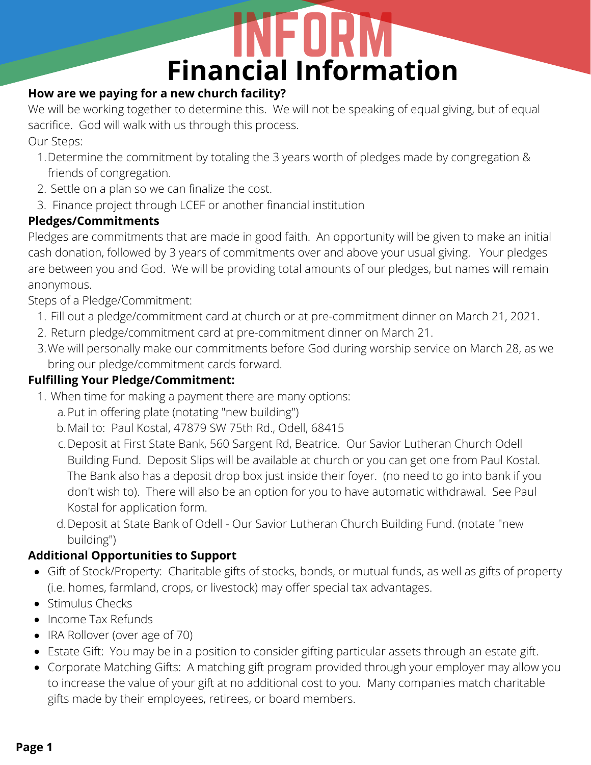## **Financial Information**

### **How are we paying for a new church facility?**

We will be working together to determine this. We will not be speaking of equal giving, but of equal sacrifice. God will walk with us through this process.

Our Steps:

- Determine the commitment by totaling the 3 years worth of pledges made by congregation & 1. friends of congregation.
- 2. Settle on a plan so we can finalize the cost.
- 3. Finance project through LCEF or another financial institution

### **Pledges/Commitments**

Pledges are commitments that are made in good faith. An opportunity will be given to make an initial cash donation, followed by 3 years of commitments over and above your usual giving. Your pledges are between you and God. We will be providing total amounts of our pledges, but names will remain anonymous.

Steps of a Pledge/Commitment:

- Fill out a pledge/commitment card at church or at pre-commitment dinner on March 21, 2021. 1.
- 2. Return pledge/commitment card at pre-commitment dinner on March 21.
- 3.We will personally make our commitments before God during worship service on March 28, as we bring our pledge/commitment cards forward.

### **Fulfilling Your Pledge/Commitment:**

- When time for making a payment there are many options: 1.
	- a.Put in offering plate (notating "new building")
	- Mail to: Paul Kostal, 47879 SW 75th Rd., Odell, 68415 b.
- c.Deposit at First State Bank, 560 Sargent Rd, Beatrice. Our Savior Lutheran Church Odell Building Fund. Deposit Slips will be available at church or you can get one from Paul Kostal. The Bank also has a deposit drop box just inside their foyer. (no need to go into bank if you don't wish to). There will also be an option for you to have automatic withdrawal. See Paul Kostal for application form. **Payer Starting and Science of the Constrainer (IP)**<br> **Page 1** IP (Starting the section of the California California California California California Constrainer communications of the cost of the cost of the cost of the co
	- Deposit at State Bank of Odell Our Savior Lutheran Church Building Fund. (notate "new d. building")

### **Additional Opportunities to Support**

- Gift of Stock/Property: Charitable gifts of stocks, bonds, or mutual funds, as well as gifts of property (i.e. homes, farmland, crops, or livestock) may offer special tax advantages.
- Stimulus Checks
- Income Tax Refunds
- IRA Rollover (over age of 70)
- Estate Gift: You may be in a position to consider gifting particular assets through an estate gift.
- Corporate Matching Gifts: A matching gift program provided through your employer may allow you to increase the value of your gift at no additional cost to you. Many companies match charitable gifts made by their employees, retirees, or board members.